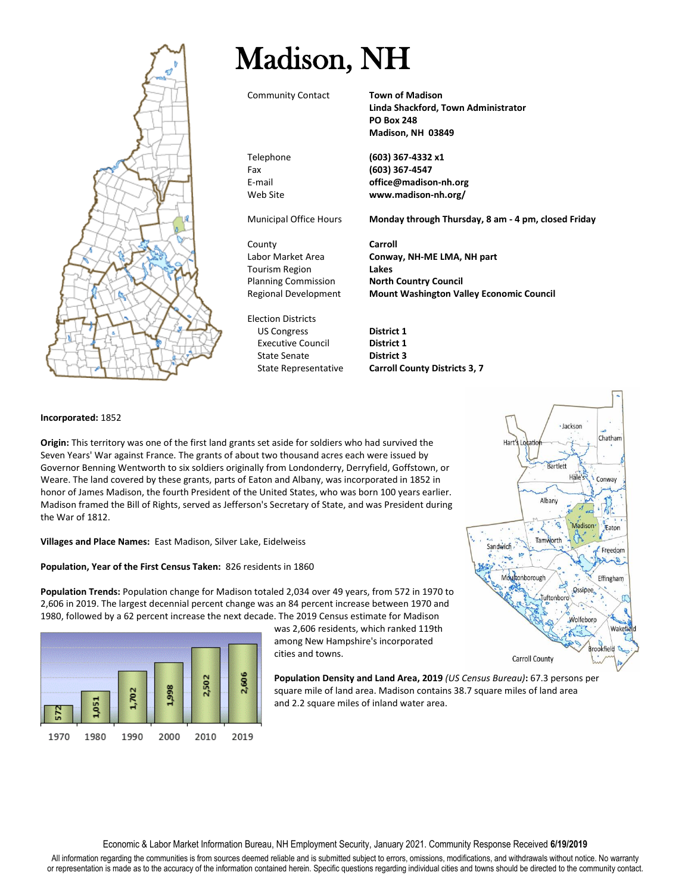

## Madison, NH

Community Contact **Town of Madison**

**Linda Shackford, Town Administrator PO Box 248 Madison, NH 03849**

Telephone **(603) 367-4332 x1** Fax **(603) 367-4547** E-mail **office@madison-nh.org** Web Site **www.madison-nh.org/**

Municipal Office Hours **Monday through Thursday, 8 am - 4 pm, closed Friday**

County **Carroll** Tourism Region **Lakes** Planning Commission **North Country Council**

Election Districts US Congress **District 1** Executive Council **District 1** State Senate **District 3**

Labor Market Area **Conway, NH-ME LMA, NH part** Regional Development **Mount Washington Valley Economic Council**

State Representative **Carroll County Districts 3, 7**

## **Incorporated:** 1852

**Origin:** This territory was one of the first land grants set aside for soldiers who had survived the Seven Years' War against France. The grants of about two thousand acres each were issued by Governor Benning Wentworth to six soldiers originally from Londonderry, Derryfield, Goffstown, or Weare. The land covered by these grants, parts of Eaton and Albany, was incorporated in 1852 in honor of James Madison, the fourth President of the United States, who was born 100 years earlier. Madison framed the Bill of Rights, served as Jefferson's Secretary of State, and was President during the War of 1812.

## **Villages and Place Names:** East Madison, Silver Lake, Eidelweiss

## **Population, Year of the First Census Taken:** 826 residents in 1860

**Population Trends:** Population change for Madison totaled 2,034 over 49 years, from 572 in 1970 to 2,606 in 2019. The largest decennial percent change was an 84 percent increase between 1970 and 1980, followed by a 62 percent increase the next decade. The 2019 Census estimate for Madison



was 2,606 residents, which ranked 119th among New Hampshire's incorporated cities and towns.

**Population Density and Land Area, 2019** *(US Census Bureau)***:** 67.3 persons per square mile of land area. Madison contains 38.7 square miles of land area and 2.2 square miles of inland water area.

Economic & Labor Market Information Bureau, NH Employment Security, January 2021. Community Response Received **6/19/2019**

All information regarding the communities is from sources deemed reliable and is submitted subject to errors, omissions, modifications, and withdrawals without notice. No warranty or representation is made as to the accuracy of the information contained herein. Specific questions regarding individual cities and towns should be directed to the community contact.

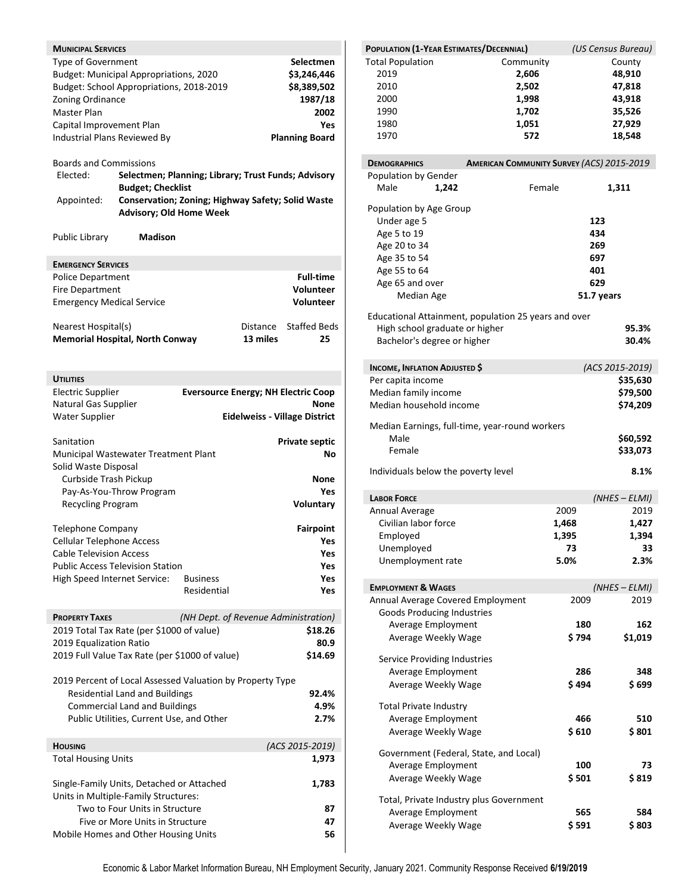| <b>MUNICIPAL SERVICES</b><br>Type of Government<br>Zoning Ordinance<br>Master Plan<br>Capital Improvement Plan<br>Industrial Plans Reviewed By<br><b>Boards and Commissions</b><br>Elected:<br>Appointed:<br><b>Public Library</b> | Budget: Municipal Appropriations, 2020<br>Budget: School Appropriations, 2018-2019<br>Selectmen; Planning; Library; Trust Funds; Advisory<br><b>Budget; Checklist</b><br>Conservation; Zoning; Highway Safety; Solid Waste<br><b>Advisory; Old Home Week</b><br><b>Madison</b> |                                            |                      | Selectmen<br>\$3,246,446<br>\$8,389,502<br>1987/18<br>2002<br>Yes<br><b>Planning Board</b> |
|------------------------------------------------------------------------------------------------------------------------------------------------------------------------------------------------------------------------------------|--------------------------------------------------------------------------------------------------------------------------------------------------------------------------------------------------------------------------------------------------------------------------------|--------------------------------------------|----------------------|--------------------------------------------------------------------------------------------|
|                                                                                                                                                                                                                                    |                                                                                                                                                                                                                                                                                |                                            |                      |                                                                                            |
| <b>EMERGENCY SERVICES</b>                                                                                                                                                                                                          |                                                                                                                                                                                                                                                                                |                                            |                      |                                                                                            |
| <b>Police Department</b>                                                                                                                                                                                                           |                                                                                                                                                                                                                                                                                |                                            |                      | <b>Full-time</b>                                                                           |
| <b>Fire Department</b>                                                                                                                                                                                                             |                                                                                                                                                                                                                                                                                |                                            |                      | Volunteer                                                                                  |
| <b>Emergency Medical Service</b>                                                                                                                                                                                                   |                                                                                                                                                                                                                                                                                |                                            |                      | Volunteer                                                                                  |
| Nearest Hospital(s)                                                                                                                                                                                                                | <b>Memorial Hospital, North Conway</b>                                                                                                                                                                                                                                         |                                            | Distance<br>13 miles | <b>Staffed Beds</b><br>25                                                                  |
| <b>UTILITIES</b>                                                                                                                                                                                                                   |                                                                                                                                                                                                                                                                                |                                            |                      |                                                                                            |
| <b>Electric Supplier</b>                                                                                                                                                                                                           |                                                                                                                                                                                                                                                                                | <b>Eversource Energy; NH Electric Coop</b> |                      |                                                                                            |
| Natural Gas Supplier                                                                                                                                                                                                               |                                                                                                                                                                                                                                                                                |                                            |                      | None                                                                                       |
| <b>Water Supplier</b>                                                                                                                                                                                                              |                                                                                                                                                                                                                                                                                |                                            |                      | <b>Eidelweiss - Village District</b>                                                       |
| Sanitation<br>Solid Waste Disposal<br>Curbside Trash Pickup<br><b>Recycling Program</b>                                                                                                                                            | Municipal Wastewater Treatment Plant<br>Pay-As-You-Throw Program                                                                                                                                                                                                               |                                            |                      | Private septic<br>Νo<br>None<br>Yes<br>Voluntary                                           |
|                                                                                                                                                                                                                                    |                                                                                                                                                                                                                                                                                |                                            |                      |                                                                                            |
| <b>Telephone Company</b>                                                                                                                                                                                                           |                                                                                                                                                                                                                                                                                |                                            |                      | <b>Fairpoint</b>                                                                           |
| <b>Cellular Telephone Access</b>                                                                                                                                                                                                   |                                                                                                                                                                                                                                                                                |                                            |                      | Yes                                                                                        |
| <b>Cable Television Access</b>                                                                                                                                                                                                     | <b>Public Access Television Station</b>                                                                                                                                                                                                                                        |                                            |                      | Yes<br>Yes.                                                                                |
| High Speed Internet Service:                                                                                                                                                                                                       |                                                                                                                                                                                                                                                                                | <b>Business</b>                            |                      | Yes.                                                                                       |
|                                                                                                                                                                                                                                    |                                                                                                                                                                                                                                                                                | Residential                                |                      | Yes                                                                                        |
|                                                                                                                                                                                                                                    |                                                                                                                                                                                                                                                                                |                                            |                      |                                                                                            |
| <b>PROPERTY TAXES</b>                                                                                                                                                                                                              |                                                                                                                                                                                                                                                                                | (NH Dept. of Revenue Administration)       |                      |                                                                                            |
|                                                                                                                                                                                                                                    | 2019 Total Tax Rate (per \$1000 of value)                                                                                                                                                                                                                                      |                                            |                      | \$18.26                                                                                    |
| 2019 Equalization Ratio                                                                                                                                                                                                            |                                                                                                                                                                                                                                                                                |                                            |                      | 80.9                                                                                       |
|                                                                                                                                                                                                                                    | 2019 Full Value Tax Rate (per \$1000 of value)                                                                                                                                                                                                                                 |                                            |                      | \$14.69                                                                                    |
|                                                                                                                                                                                                                                    | 2019 Percent of Local Assessed Valuation by Property Type<br><b>Residential Land and Buildings</b><br><b>Commercial Land and Buildings</b>                                                                                                                                     |                                            |                      | 92.4%<br>4.9%                                                                              |
|                                                                                                                                                                                                                                    | Public Utilities, Current Use, and Other                                                                                                                                                                                                                                       |                                            |                      | 2.7%                                                                                       |
| <b>HOUSING</b>                                                                                                                                                                                                                     |                                                                                                                                                                                                                                                                                |                                            |                      | (ACS 2015-2019)                                                                            |
| <b>Total Housing Units</b>                                                                                                                                                                                                         |                                                                                                                                                                                                                                                                                |                                            |                      | 1,973                                                                                      |
|                                                                                                                                                                                                                                    |                                                                                                                                                                                                                                                                                |                                            |                      |                                                                                            |
|                                                                                                                                                                                                                                    | Single-Family Units, Detached or Attached<br>Units in Multiple-Family Structures:                                                                                                                                                                                              |                                            |                      | 1,783                                                                                      |
|                                                                                                                                                                                                                                    | Two to Four Units in Structure                                                                                                                                                                                                                                                 |                                            |                      | 87                                                                                         |
|                                                                                                                                                                                                                                    | Five or More Units in Structure<br>Mobile Homes and Other Housing Units                                                                                                                                                                                                        |                                            |                      | 47<br>56                                                                                   |
|                                                                                                                                                                                                                                    |                                                                                                                                                                                                                                                                                |                                            |                      |                                                                                            |

| POPULATION (1-YEAR ESTIMATES/DECENNIAL) |                                                      |            | (US Census Bureau) |
|-----------------------------------------|------------------------------------------------------|------------|--------------------|
| <b>Total Population</b>                 | Community                                            |            | County             |
| 2019                                    | 2,606                                                |            | 48,910             |
| 2010                                    | 2,502                                                |            | 47,818             |
| 2000                                    | 1,998                                                |            | 43,918             |
| 1990                                    | 1,702                                                |            | 35,526             |
| 1980                                    | 1,051                                                |            | 27,929             |
| 1970                                    | 572                                                  |            | 18,548             |
|                                         |                                                      |            |                    |
| <b>DEMOGRAPHICS</b>                     | <b>AMERICAN COMMUNITY SURVEY (ACS) 2015-2019</b>     |            |                    |
| Population by Gender                    |                                                      |            |                    |
| Male<br>1,242                           | Female                                               |            | 1,311              |
| Population by Age Group                 |                                                      |            |                    |
| Under age 5                             |                                                      | 123        |                    |
| Age 5 to 19                             |                                                      | 434        |                    |
| Age 20 to 34                            |                                                      | 269        |                    |
| Age 35 to 54                            |                                                      | 697        |                    |
| Age 55 to 64                            |                                                      | 401        |                    |
| Age 65 and over                         |                                                      | 629        |                    |
| <b>Median Age</b>                       |                                                      | 51.7 years |                    |
|                                         |                                                      |            |                    |
|                                         | Educational Attainment, population 25 years and over |            |                    |
| High school graduate or higher          |                                                      |            | 95.3%              |
| Bachelor's degree or higher             |                                                      |            | 30.4%              |
| <b>INCOME, INFLATION ADJUSTED \$</b>    |                                                      |            | (ACS 2015-2019)    |
| Per capita income                       |                                                      |            | \$35,630           |
| Median family income                    |                                                      |            |                    |
| Median household income                 |                                                      |            | \$79,500           |
|                                         |                                                      |            | \$74,209           |
|                                         | Median Earnings, full-time, year-round workers       |            |                    |
| Male                                    |                                                      |            | \$60,592           |
| Female                                  |                                                      |            | \$33,073           |
|                                         |                                                      |            | 8.1%               |
| Individuals below the poverty level     |                                                      |            |                    |
| <b>LABOR FORCE</b>                      |                                                      |            | (NHES - ELMI)      |
| Annual Average                          |                                                      | 2009       | 2019               |
| Civilian labor force                    |                                                      | 1,468      | 1,427              |
| Employed                                |                                                      | 1,395      | 1,394              |
| Unemployed                              |                                                      | 73         | 33                 |
| Unemployment rate                       |                                                      | 5.0%       | 2.3%               |
|                                         |                                                      |            |                    |
| <b>EMPLOYMENT &amp; WAGES</b>           |                                                      |            | (NHES - ELMI)      |
| Annual Average Covered Employment       |                                                      | 2009       | 2019               |
| <b>Goods Producing Industries</b>       |                                                      |            |                    |
| Average Employment                      |                                                      | 180        | 162                |
| Average Weekly Wage                     |                                                      | \$794      | \$1,019            |
|                                         |                                                      |            |                    |
| Service Providing Industries            |                                                      |            |                    |
| <b>Average Employment</b>               |                                                      | 286        | 348                |
| Average Weekly Wage                     |                                                      | \$494      | \$ 699             |
| <b>Total Private Industry</b>           |                                                      |            |                    |
| Average Employment                      |                                                      | 466        | 510                |
|                                         |                                                      |            |                    |
| Average Weekly Wage                     |                                                      | \$ 610     | \$801              |
| Government (Federal, State, and Local)  |                                                      |            |                    |
| Average Employment                      |                                                      | 100        | 73                 |
| Average Weekly Wage                     |                                                      | \$ 501     | \$ 819             |
| Total, Private Industry plus Government |                                                      |            |                    |
| Average Employment                      |                                                      | 565        | 584                |
| Average Weekly Wage                     |                                                      | \$ 591     | \$803              |
|                                         |                                                      |            |                    |